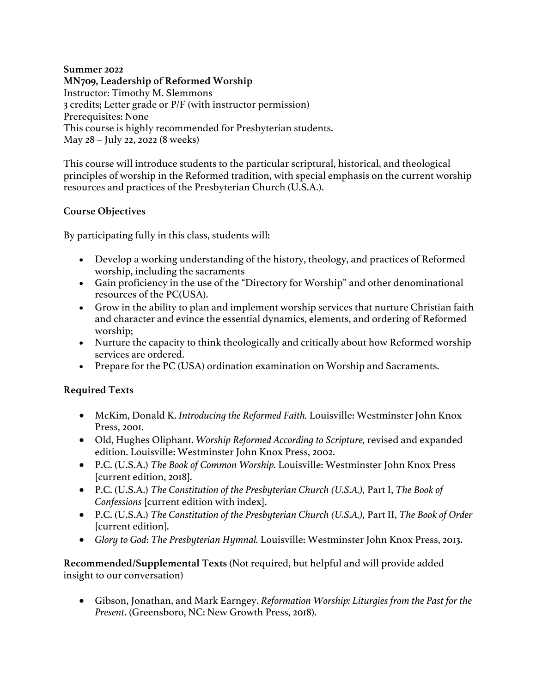## **Summer 2022 MN709, Leadership of Reformed Worship**  Instructor: Timothy M. Slemmons 3 credits; Letter grade or P/F (with instructor permission) Prerequisites: None This course is highly recommended for Presbyterian students. May 28 – July 22, 2022 (8 weeks)

This course will introduce students to the particular scriptural, historical, and theological principles of worship in the Reformed tradition, with special emphasis on the current worship resources and practices of the Presbyterian Church (U.S.A.).

## **Course Objectives**

By participating fully in this class, students will:

- Develop a working understanding of the history, theology, and practices of Reformed worship, including the sacraments
- Gain proficiency in the use of the "Directory for Worship" and other denominational resources of the PC(USA).
- Grow in the ability to plan and implement worship services that nurture Christian faith and character and evince the essential dynamics, elements, and ordering of Reformed worship;
- Nurture the capacity to think theologically and critically about how Reformed worship services are ordered.
- Prepare for the PC (USA) ordination examination on Worship and Sacraments.

## **Required Texts**

- McKim, Donald K. *Introducing the Reformed Faith.* Louisville: Westminster John Knox Press, 2001.
- Old, Hughes Oliphant. *Worship Reformed According to Scripture*, revised and expanded edition. Louisville: Westminster John Knox Press, 2002.
- P.C. (U.S.A.) *The Book of Common Worship.* Louisville: Westminster John Knox Press [current edition, 2018].
- P.C. (U.S.A.) *The Constitution of the Presbyterian Church (U.S.A.),* Part I, *The Book of Confessions* [current edition with index].
- P.C. (U.S.A.) *The Constitution of the Presbyterian Church (U.S.A.),* Part II, *The Book of Order* [current edition].
- *Glory to God*: *The Presbyterian Hymnal.* Louisville: Westminster John Knox Press, 2013.

**Recommended/Supplemental Texts** (Not required, but helpful and will provide added insight to our conversation)

• Gibson, Jonathan, and Mark Earngey. *Reformation Worship: Liturgies from the Past for the Present*. (Greensboro, NC: New Growth Press, 2018).